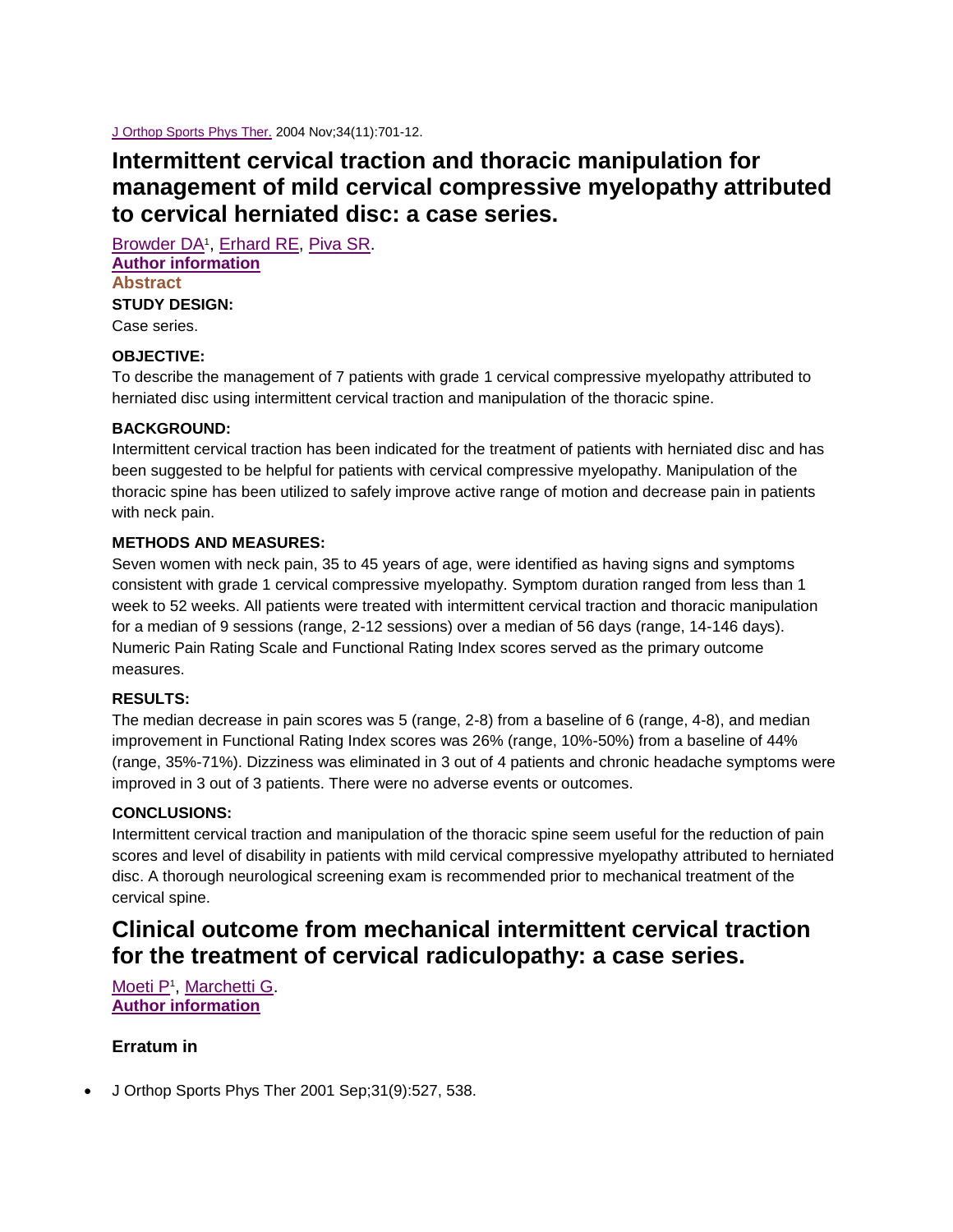[J Orthop Sports Phys Ther.](http://www.ncbi.nlm.nih.gov/pubmed/15609490) 2004 Nov;34(11):701-12.

# **Intermittent cervical traction and thoracic manipulation for management of mild cervical compressive myelopathy attributed to cervical herniated disc: a case series.**

[Browder DA](http://www.ncbi.nlm.nih.gov/pubmed/?term=Browder%20DA%5BAuthor%5D&cauthor=true&cauthor_uid=15609490)<sup>1</sup>, [Erhard RE,](http://www.ncbi.nlm.nih.gov/pubmed/?term=Erhard%20RE%5BAuthor%5D&cauthor=true&cauthor_uid=15609490) [Piva SR.](http://www.ncbi.nlm.nih.gov/pubmed/?term=Piva%20SR%5BAuthor%5D&cauthor=true&cauthor_uid=15609490) **[Author information](http://www.ncbi.nlm.nih.gov/pubmed/15609490) Abstract STUDY DESIGN:** Case series.

# **OBJECTIVE:**

To describe the management of 7 patients with grade 1 cervical compressive myelopathy attributed to herniated disc using intermittent cervical traction and manipulation of the thoracic spine.

## **BACKGROUND:**

Intermittent cervical traction has been indicated for the treatment of patients with herniated disc and has been suggested to be helpful for patients with cervical compressive myelopathy. Manipulation of the thoracic spine has been utilized to safely improve active range of motion and decrease pain in patients with neck pain.

### **METHODS AND MEASURES:**

Seven women with neck pain, 35 to 45 years of age, were identified as having signs and symptoms consistent with grade 1 cervical compressive myelopathy. Symptom duration ranged from less than 1 week to 52 weeks. All patients were treated with intermittent cervical traction and thoracic manipulation for a median of 9 sessions (range, 2-12 sessions) over a median of 56 days (range, 14-146 days). Numeric Pain Rating Scale and Functional Rating Index scores served as the primary outcome measures.

#### **RESULTS:**

The median decrease in pain scores was 5 (range, 2-8) from a baseline of 6 (range, 4-8), and median improvement in Functional Rating Index scores was 26% (range, 10%-50%) from a baseline of 44% (range, 35%-71%). Dizziness was eliminated in 3 out of 4 patients and chronic headache symptoms were improved in 3 out of 3 patients. There were no adverse events or outcomes.

## **CONCLUSIONS:**

Intermittent cervical traction and manipulation of the thoracic spine seem useful for the reduction of pain scores and level of disability in patients with mild cervical compressive myelopathy attributed to herniated disc. A thorough neurological screening exam is recommended prior to mechanical treatment of the cervical spine.

# **Clinical outcome from mechanical intermittent cervical traction for the treatment of cervical radiculopathy: a case series.**

[Moeti P](http://www.ncbi.nlm.nih.gov/pubmed/?term=Moeti%20P%5BAuthor%5D&cauthor=true&cauthor_uid=11324874)<sup>1</sup>, [Marchetti G.](http://www.ncbi.nlm.nih.gov/pubmed/?term=Marchetti%20G%5BAuthor%5D&cauthor=true&cauthor_uid=11324874) **[Author information](http://www.ncbi.nlm.nih.gov/pubmed/11324874)**

# **Erratum in**

J Orthop Sports Phys Ther 2001 Sep;31(9):527, 538.